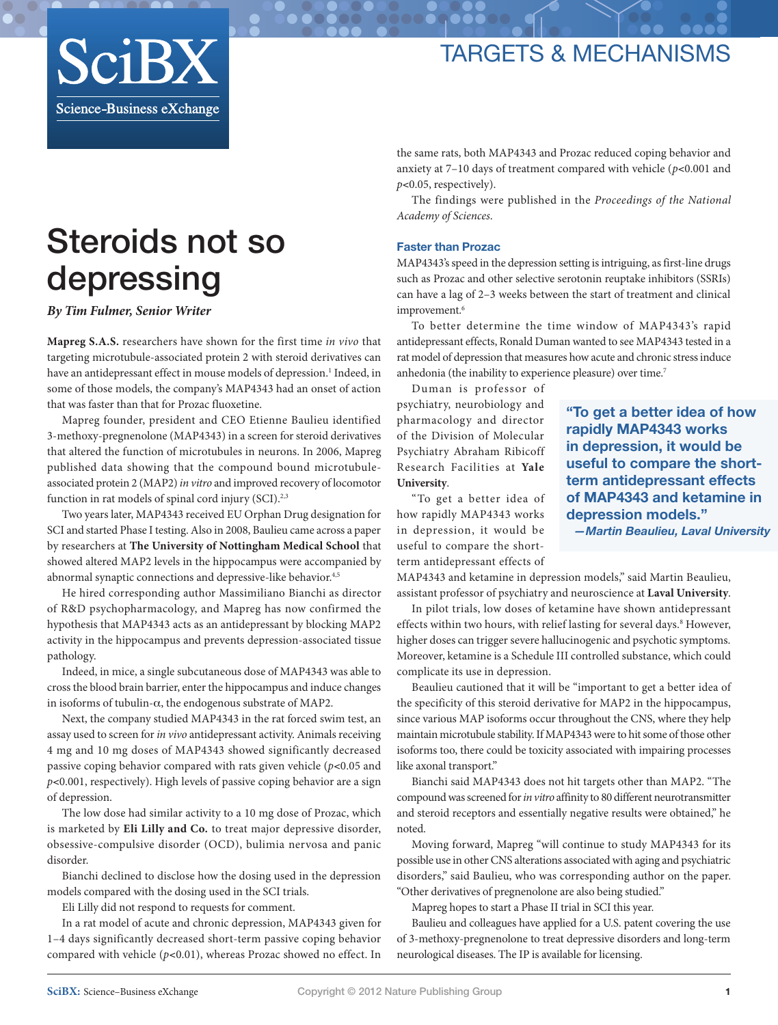## targets & mechanisMS



# Steroids not so depressing

*By Tim Fulmer, Senior Writer*

**[Mapreg S.A.S.](http://www.biocentury.com/companies/mapreg_sas?utm_source=nature)** researchers have shown for the first time *in vivo* that targeting [microtubule-associated protein 2](http://www.biocentury.com/targets/microtubule-associated_protein_2?utm_source=nature) with steroid derivatives can have an antidepressant effect in mouse models of depression.<sup>1</sup> Indeed, in some of those models, the company's [MAP4343](http://www.biocentury.com/products/map4343?utm_source=nature) had an onset of action that was faster than that for [Prozac](http://www.biocentury.com/products/prozac?utm_source=nature) fluoxetine.

Mapreg founder, president and CEO Etienne Baulieu identified 3-methoxy-pregnenolone (MAP4343) in a screen for steroid derivatives that altered the function of microtubules in neurons. In 2006, Mapreg published data showing that the compound bound microtubuleassociated protein 2 [\(MAP2\)](http://www.biocentury.com/targets/map2?utm_source=nature) *in vitro* and improved recovery of locomotor function in rat models of spinal cord injury (SCI).<sup>2,3</sup>

Two years later, MAP4343 received EU Orphan Drug designation for SCI and started Phase I testing. Also in 2008, Baulieu came across a paper by researchers at **[The University of Nottingham Medical School](http://www.nottingham.ac.uk/about/campuses/medicalschool.aspx)** that showed altered MAP2 levels in the hippocampus were accompanied by abnormal synaptic connections and depressive-like behavior.<sup>4,5</sup>

He hired corresponding author Massimiliano Bianchi as director of R&D psychopharmacology, and Mapreg has now confirmed the hypothesis that MAP4343 acts as an antidepressant by blocking MAP2 activity in the hippocampus and prevents depression-associated tissue pathology.

Indeed, in mice, a single subcutaneous dose of MAP4343 was able to cross the blood brain barrier, enter the hippocampus and induce changes in isoforms of tubulin- $\alpha$ , the endogenous substrate of MAP2.

Next, the company studied MAP4343 in the rat forced swim test, an assay used to screen for *in vivo* antidepressant activity. Animals receiving 4 mg and 10 mg doses of MAP4343 showed significantly decreased passive coping behavior compared with rats given vehicle (*p*<0.05 and *p*<0.001, respectively). High levels of passive coping behavior are a sign of depression.

The low dose had similar activity to a 10 mg dose of Prozac, which is marketed by **[Eli Lilly and Co.](http://www.biocentury.com/companies/eli_lilly_and_co?utm_source=nature)** to treat major depressive disorder, obsessive-compulsive disorder (OCD), bulimia nervosa and panic disorder.

Bianchi declined to disclose how the dosing used in the depression models compared with the dosing used in the SCI trials.

Eli Lilly did not respond to requests for comment.

In a rat model of acute and chronic depression, MAP4343 given for 1–4 days significantly decreased short-term passive coping behavior compared with vehicle ( $p$ <0.01), whereas Prozac showed no effect. In

the same rats, both MAP4343 and Prozac reduced coping behavior and anxiety at 7–10 days of treatment compared with vehicle (*p*<0.001 and *p*<0.05, respectively).

The findings were published in the *Proceedings of the National Academy of Sciences*.

## Faster than Prozac

MAP4343's speed in the depression setting is intriguing, as first-line drugs such as Prozac and other selective serotonin reuptake inhibitors (SSRIs) can have a lag of 2–3 weeks between the start of treatment and clinical improvement.<sup>6</sup>

To better determine the time window of MAP4343's rapid antidepressant effects, Ronald Duman wanted to see MAP4343 tested in a rat model of depression that measures how acute and chronic stress induce anhedonia (the inability to experience pleasure) over time.<sup>7</sup>

Duman is professor of psychiatry, neurobiology and pharmacology and director of the Division of Molecular Psychiatry Abraham Ribicoff Research Facilities at **[Yale](http://www.yale.edu/) [University](http://www.yale.edu/)**.

"To get a better idea of how rapidly MAP4343 works in depression, it would be useful to compare the shortterm antidepressant effects of

"To get a better idea of how rapidly MAP4343 works in depression, it would be useful to compare the shortterm antidepressant effects of MAP4343 and ketamine in depression models." *—Martin Beaulieu, Laval University*

MAP4343 and ketamine in depression models," said Martin Beaulieu, assistant professor of psychiatry and neuroscience at **[Laval University](http://www2.ulaval.ca/en/home.html)**.

In pilot trials, low doses of ketamine have shown antidepressant effects within two hours, with relief lasting for several days.<sup>8</sup> However, higher doses can trigger severe hallucinogenic and psychotic symptoms. Moreover, ketamine is a Schedule III controlled substance, which could complicate its use in depression.

Beaulieu cautioned that it will be "important to get a better idea of the specificity of this steroid derivative for MAP2 in the hippocampus, since various MAP isoforms occur throughout the CNS, where they help maintain microtubule stability. If MAP4343 were to hit some of those other isoforms too, there could be toxicity associated with impairing processes like axonal transport."

Bianchi said MAP4343 does not hit targets other than MAP2. "The compound was screened for *in vitro* affinity to 80 different neurotransmitter and steroid receptors and essentially negative results were obtained," he noted.

Moving forward, Mapreg "will continue to study MAP4343 for its possible use in other CNS alterations associated with aging and psychiatric disorders," said Baulieu, who was corresponding author on the paper. "Other derivatives of pregnenolone are also being studied."

Mapreg hopes to start a Phase II trial in SCI this year.

Baulieu and colleagues have applied for a U.S. patent covering the use of 3-methoxy-pregnenolone to treat depressive disorders and long-term neurological diseases. The IP is available for licensing.